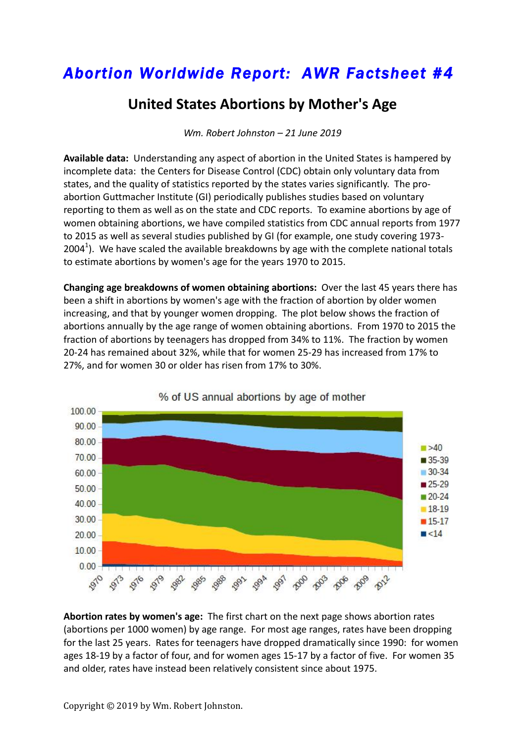## *Abortion Worldwide Report: AWR Factsheet #4*

## **United States Abortions by Mother's Age**

*Wm. Robert Johnston – 21 June 2019*

**Available data:** Understanding any aspect of abortion in the United States is hampered by incomplete data: the Centers for Disease Control (CDC) obtain only voluntary data from states, and the quality of statistics reported by the states varies significantly. The proabortion Guttmacher Institute (GI) periodically publishes studies based on voluntary reporting to them as well as on the state and CDC reports. To examine abortions by age of women obtaining abortions, we have compiled statistics from CDC annual reports from 1977 to 2015 as well as several studies published by GI (for example, one study covering 1973-2004<sup>1</sup>). We have scaled the available breakdowns by age with the complete national totals to estimate abortions by women's age for the years 1970 to 2015.

**Changing age breakdowns of women obtaining abortions:** Over the last 45 years there has been a shift in abortions by women's age with the fraction of abortion by older women increasing, and that by younger women dropping. The plot below shows the fraction of abortions annually by the age range of women obtaining abortions. From 1970 to 2015 the fraction of abortions by teenagers has dropped from 34% to 11%. The fraction by women 20-24 has remained about 32%, while that for women 25-29 has increased from 17% to 27%, and for women 30 or older has risen from 17% to 30%.



% of US annual abortions by age of mother

**Abortion rates by women's age:** The first chart on the next page shows abortion rates (abortions per 1000 women) by age range. For most age ranges, rates have been dropping for the last 25 years. Rates for teenagers have dropped dramatically since 1990: for women ages 18-19 by a factor of four, and for women ages 15-17 by a factor of five. For women 35 and older, rates have instead been relatively consistent since about 1975.